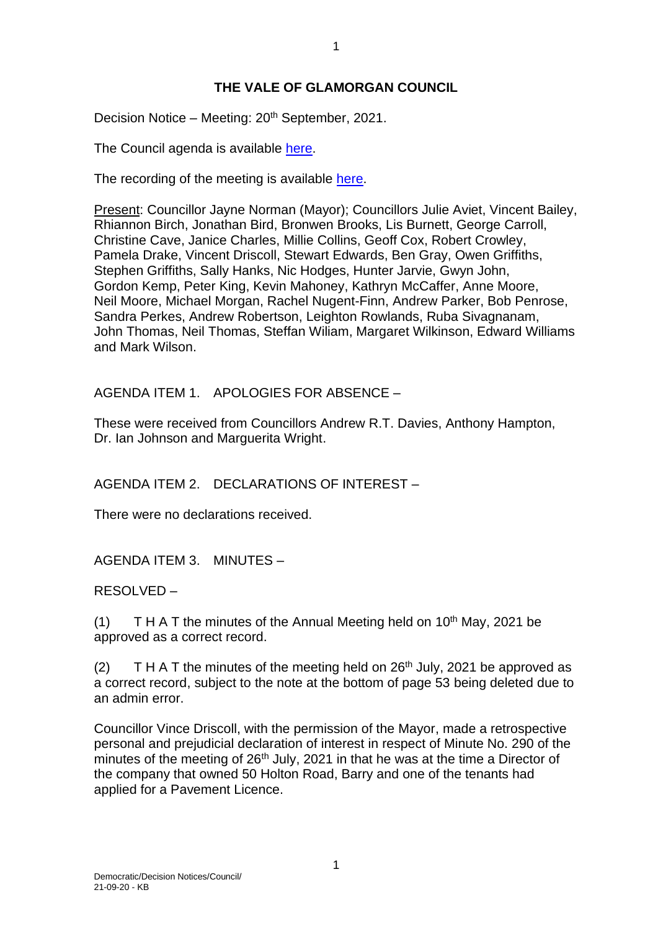## **THE VALE OF GLAMORGAN COUNCIL**

Decision Notice – Meeting: 20<sup>th</sup> September, 2021.

The Council agenda is available [here.](https://www.valeofglamorgan.gov.uk/en/our_council/Council-Structure/minutes,_agendas_and_reports/agendas/council/2021/21-09-20.aspx)

The recording of the meeting is available [here.](https://youtu.be/hhc4OqBelGM)

Present: Councillor Jayne Norman (Mayor); Councillors Julie Aviet, Vincent Bailey, Rhiannon Birch, Jonathan Bird, Bronwen Brooks, Lis Burnett, George Carroll, Christine Cave, Janice Charles, Millie Collins, Geoff Cox, Robert Crowley, Pamela Drake, Vincent Driscoll, Stewart Edwards, Ben Gray, Owen Griffiths, Stephen Griffiths, Sally Hanks, Nic Hodges, Hunter Jarvie, Gwyn John, Gordon Kemp, Peter King, Kevin Mahoney, Kathryn McCaffer, Anne Moore, Neil Moore, Michael Morgan, Rachel Nugent-Finn, Andrew Parker, Bob Penrose, Sandra Perkes, Andrew Robertson, Leighton Rowlands, Ruba Sivagnanam, John Thomas, Neil Thomas, Steffan Wiliam, Margaret Wilkinson, Edward Williams and Mark Wilson.

AGENDA ITEM 1. APOLOGIES FOR ABSENCE –

These were received from Councillors Andrew R.T. Davies, Anthony Hampton, Dr. Ian Johnson and Marguerita Wright.

AGENDA ITEM 2. DECLARATIONS OF INTEREST –

There were no declarations received.

AGENDA ITEM 3. MINUTES –

RESOLVED –

(1) T H A T the minutes of the Annual Meeting held on  $10<sup>th</sup>$  May, 2021 be approved as a correct record.

(2) T H A T the minutes of the meeting held on  $26<sup>th</sup>$  July, 2021 be approved as a correct record, subject to the note at the bottom of page 53 being deleted due to an admin error.

Councillor Vince Driscoll, with the permission of the Mayor, made a retrospective personal and prejudicial declaration of interest in respect of Minute No. 290 of the minutes of the meeting of  $26<sup>th</sup>$  July, 2021 in that he was at the time a Director of the company that owned 50 Holton Road, Barry and one of the tenants had applied for a Pavement Licence.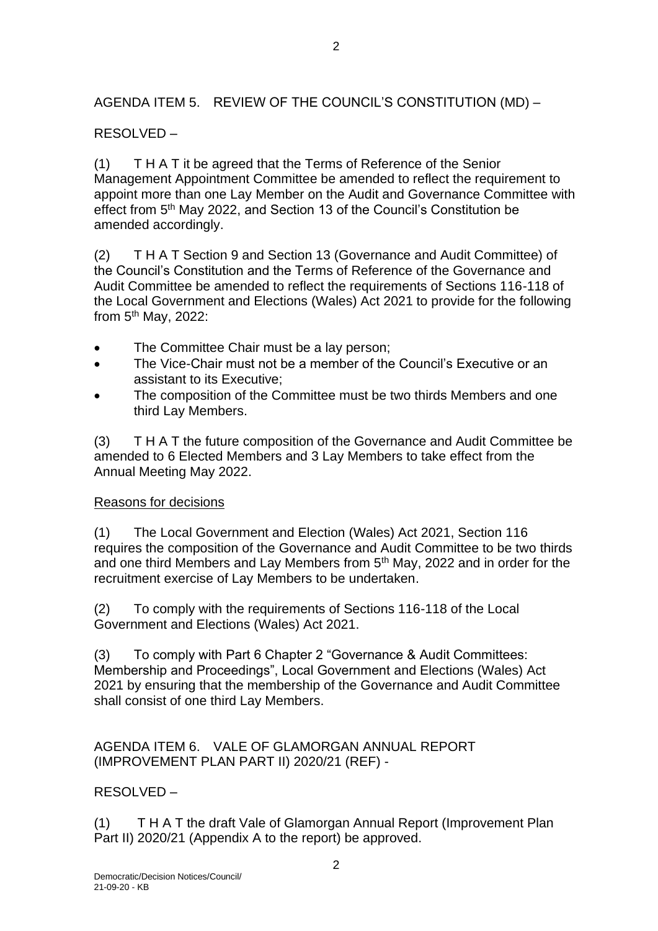## AGENDA ITEM 5. REVIEW OF THE COUNCIL'S CONSTITUTION (MD) –

 $\mathfrak{D}$ 

# RESOLVED –

(1) T H A T it be agreed that the Terms of Reference of the Senior Management Appointment Committee be amended to reflect the requirement to appoint more than one Lay Member on the Audit and Governance Committee with effect from 5<sup>th</sup> May 2022, and Section 13 of the Council's Constitution be amended accordingly.

(2) T H A T Section 9 and Section 13 (Governance and Audit Committee) of the Council's Constitution and the Terms of Reference of the Governance and Audit Committee be amended to reflect the requirements of Sections 116-118 of the Local Government and Elections (Wales) Act 2021 to provide for the following from  $5<sup>th</sup>$  May, 2022:

- The Committee Chair must be a lay person;
- The Vice-Chair must not be a member of the Council's Executive or an assistant to its Executive;
- The composition of the Committee must be two thirds Members and one third Lay Members.

(3) T H A T the future composition of the Governance and Audit Committee be amended to 6 Elected Members and 3 Lay Members to take effect from the Annual Meeting May 2022.

#### Reasons for decisions

(1) The Local Government and Election (Wales) Act 2021, Section 116 requires the composition of the Governance and Audit Committee to be two thirds and one third Members and Lay Members from 5<sup>th</sup> May, 2022 and in order for the recruitment exercise of Lay Members to be undertaken.

(2) To comply with the requirements of Sections 116-118 of the Local Government and Elections (Wales) Act 2021.

(3) To comply with Part 6 Chapter 2 "Governance & Audit Committees: Membership and Proceedings", Local Government and Elections (Wales) Act 2021 by ensuring that the membership of the Governance and Audit Committee shall consist of one third Lay Members.

AGENDA ITEM 6. VALE OF GLAMORGAN ANNUAL REPORT (IMPROVEMENT PLAN PART II) 2020/21 (REF) -

## RESOLVED –

(1) T H A T the draft Vale of Glamorgan Annual Report (Improvement Plan Part II) 2020/21 (Appendix A to the report) be approved.